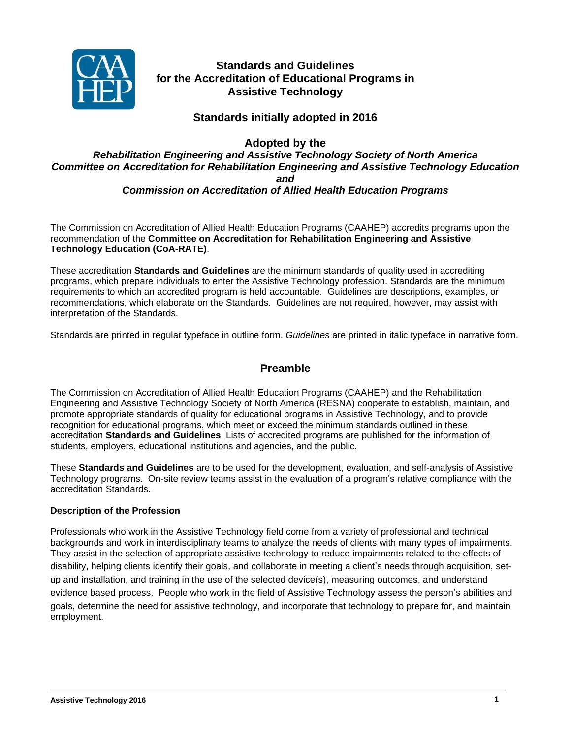

# **Standards and Guidelines for the Accreditation of Educational Programs in Assistive Technology**

# **Standards initially adopted in 2016**

**Adopted by the**

## *Rehabilitation Engineering and Assistive Technology Society of North America Committee on Accreditation for Rehabilitation Engineering and Assistive Technology Education and Commission on Accreditation of Allied Health Education Programs*

The Commission on Accreditation of Allied Health Education Programs (CAAHEP) accredits programs upon the recommendation of the **Committee on Accreditation for Rehabilitation Engineering and Assistive Technology Education (CoA-RATE)**.

These accreditation **Standards and Guidelines** are the minimum standards of quality used in accrediting programs, which prepare individuals to enter the Assistive Technology profession. Standards are the minimum requirements to which an accredited program is held accountable. Guidelines are descriptions, examples, or recommendations, which elaborate on the Standards. Guidelines are not required, however, may assist with interpretation of the Standards.

Standards are printed in regular typeface in outline form. *Guidelines* are printed in italic typeface in narrative form.

# **Preamble**

The Commission on Accreditation of Allied Health Education Programs (CAAHEP) and the Rehabilitation Engineering and Assistive Technology Society of North America (RESNA) cooperate to establish, maintain, and promote appropriate standards of quality for educational programs in Assistive Technology, and to provide recognition for educational programs, which meet or exceed the minimum standards outlined in these accreditation **Standards and Guidelines**. Lists of accredited programs are published for the information of students, employers, educational institutions and agencies, and the public.

These **Standards and Guidelines** are to be used for the development, evaluation, and self-analysis of Assistive Technology programs. On-site review teams assist in the evaluation of a program's relative compliance with the accreditation Standards.

## **Description of the Profession**

Professionals who work in the Assistive Technology field come from a variety of professional and technical backgrounds and work in interdisciplinary teams to analyze the needs of clients with many types of impairments. They assist in the selection of appropriate assistive technology to reduce impairments related to the effects of disability, helping clients identify their goals, and collaborate in meeting a client's needs through acquisition, setup and installation, and training in the use of the selected device(s), measuring outcomes, and understand evidence based process. People who work in the field of Assistive Technology assess the person's abilities and goals, determine the need for assistive technology, and incorporate that technology to prepare for, and maintain employment.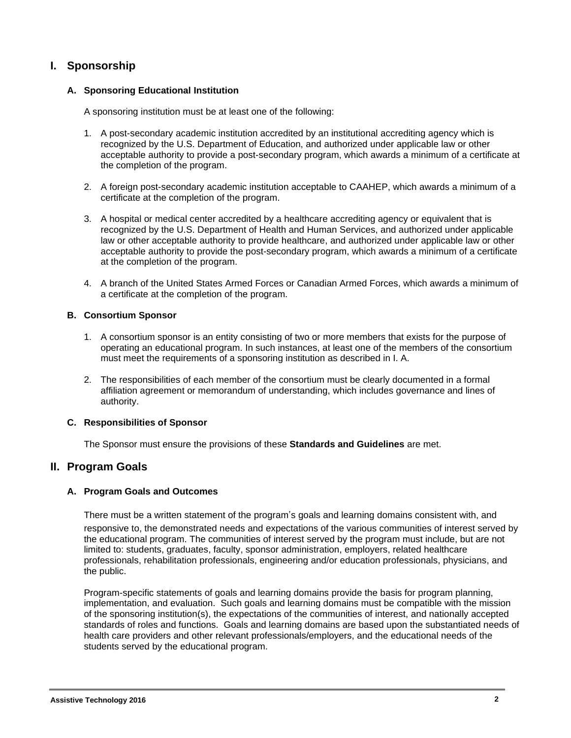# **I. Sponsorship**

## **A. Sponsoring Educational Institution**

A sponsoring institution must be at least one of the following:

- 1. A post-secondary academic institution accredited by an institutional accrediting agency which is recognized by the U.S. Department of Education, and authorized under applicable law or other acceptable authority to provide a post-secondary program, which awards a minimum of a certificate at the completion of the program.
- 2. A foreign post-secondary academic institution acceptable to CAAHEP, which awards a minimum of a certificate at the completion of the program.
- 3. A hospital or medical center accredited by a healthcare accrediting agency or equivalent that is recognized by the U.S. Department of Health and Human Services, and authorized under applicable law or other acceptable authority to provide healthcare, and authorized under applicable law or other acceptable authority to provide the post-secondary program, which awards a minimum of a certificate at the completion of the program.
- 4. A branch of the United States Armed Forces or Canadian Armed Forces, which awards a minimum of a certificate at the completion of the program.

#### **B. Consortium Sponsor**

- 1. A consortium sponsor is an entity consisting of two or more members that exists for the purpose of operating an educational program. In such instances, at least one of the members of the consortium must meet the requirements of a sponsoring institution as described in I. A.
- 2. The responsibilities of each member of the consortium must be clearly documented in a formal affiliation agreement or memorandum of understanding, which includes governance and lines of authority.

## **C. Responsibilities of Sponsor**

The Sponsor must ensure the provisions of these **Standards and Guidelines** are met.

## **II. Program Goals**

#### **A. Program Goals and Outcomes**

There must be a written statement of the program's goals and learning domains consistent with, and

responsive to, the demonstrated needs and expectations of the various communities of interest served by the educational program. The communities of interest served by the program must include, but are not limited to: students, graduates, faculty, sponsor administration, employers, related healthcare professionals, rehabilitation professionals, engineering and/or education professionals, physicians, and the public.

Program-specific statements of goals and learning domains provide the basis for program planning, implementation, and evaluation. Such goals and learning domains must be compatible with the mission of the sponsoring institution(s), the expectations of the communities of interest, and nationally accepted standards of roles and functions. Goals and learning domains are based upon the substantiated needs of health care providers and other relevant professionals/employers, and the educational needs of the students served by the educational program.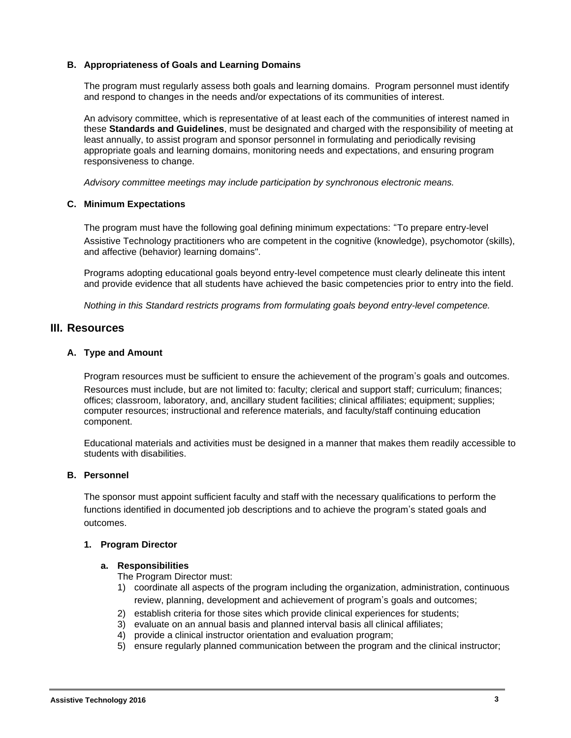#### **B. Appropriateness of Goals and Learning Domains**

The program must regularly assess both goals and learning domains. Program personnel must identify and respond to changes in the needs and/or expectations of its communities of interest.

An advisory committee, which is representative of at least each of the communities of interest named in these **Standards and Guidelines**, must be designated and charged with the responsibility of meeting at least annually, to assist program and sponsor personnel in formulating and periodically revising appropriate goals and learning domains, monitoring needs and expectations, and ensuring program responsiveness to change.

*Advisory committee meetings may include participation by synchronous electronic means.*

#### **C. Minimum Expectations**

The program must have the following goal defining minimum expectations: "To prepare entry-level Assistive Technology practitioners who are competent in the cognitive (knowledge), psychomotor (skills), and affective (behavior) learning domains".

Programs adopting educational goals beyond entry-level competence must clearly delineate this intent and provide evidence that all students have achieved the basic competencies prior to entry into the field.

*Nothing in this Standard restricts programs from formulating goals beyond entry-level competence.* 

## **III. Resources**

#### **A. Type and Amount**

Program resources must be sufficient to ensure the achievement of the program's goals and outcomes. Resources must include, but are not limited to: faculty; clerical and support staff; curriculum; finances; offices; classroom, laboratory, and, ancillary student facilities; clinical affiliates; equipment; supplies; computer resources; instructional and reference materials, and faculty/staff continuing education component.

Educational materials and activities must be designed in a manner that makes them readily accessible to students with disabilities.

#### **B. Personnel**

The sponsor must appoint sufficient faculty and staff with the necessary qualifications to perform the functions identified in documented job descriptions and to achieve the program's stated goals and outcomes.

#### **1. Program Director**

#### **a. Responsibilities**

The Program Director must:

- 1) coordinate all aspects of the program including the organization, administration, continuous review, planning, development and achievement of program's goals and outcomes;
- 2) establish criteria for those sites which provide clinical experiences for students;
- 3) evaluate on an annual basis and planned interval basis all clinical affiliates;
- 4) provide a clinical instructor orientation and evaluation program;
- 5) ensure regularly planned communication between the program and the clinical instructor;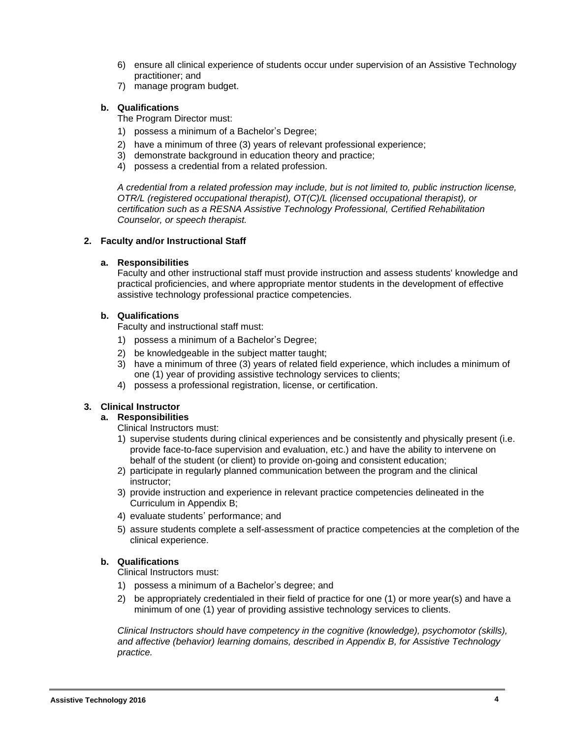- 6) ensure all clinical experience of students occur under supervision of an Assistive Technology practitioner; and
- 7) manage program budget.

### **b. Qualifications**

The Program Director must:

- 1) possess a minimum of a Bachelor's Degree;
- 2) have a minimum of three (3) years of relevant professional experience;
- 3) demonstrate background in education theory and practice;
- 4) possess a credential from a related profession.

*A credential from a related profession may include, but is not limited to, public instruction license, OTR/L (registered occupational therapist), OT(C)/L (licensed occupational therapist), or certification such as a RESNA Assistive Technology Professional, Certified Rehabilitation Counselor, or speech therapist.*

#### **2. Faculty and/or Instructional Staff**

#### **a. Responsibilities**

Faculty and other instructional staff must provide instruction and assess students' knowledge and practical proficiencies, and where appropriate mentor students in the development of effective assistive technology professional practice competencies.

#### **b. Qualifications**

Faculty and instructional staff must:

- 1) possess a minimum of a Bachelor's Degree;
- 2) be knowledgeable in the subject matter taught;
- 3) have a minimum of three (3) years of related field experience, which includes a minimum of one (1) year of providing assistive technology services to clients;
- 4) possess a professional registration, license, or certification.

## **3. Clinical Instructor**

## **a. Responsibilities**

Clinical Instructors must:

- 1) supervise students during clinical experiences and be consistently and physically present (i.e. provide face-to-face supervision and evaluation, etc.) and have the ability to intervene on behalf of the student (or client) to provide on-going and consistent education;
- 2) participate in regularly planned communication between the program and the clinical instructor;
- 3) provide instruction and experience in relevant practice competencies delineated in the Curriculum in Appendix B;
- 4) evaluate students' performance; and
- 5) assure students complete a self-assessment of practice competencies at the completion of the clinical experience.

## **b. Qualifications**

Clinical Instructors must:

- 1) possess a minimum of a Bachelor's degree; and
- 2) be appropriately credentialed in their field of practice for one (1) or more year(s) and have a minimum of one (1) year of providing assistive technology services to clients.

*Clinical Instructors should have competency in the cognitive (knowledge), psychomotor (skills), and affective (behavior) learning domains, described in Appendix B, for Assistive Technology practice.*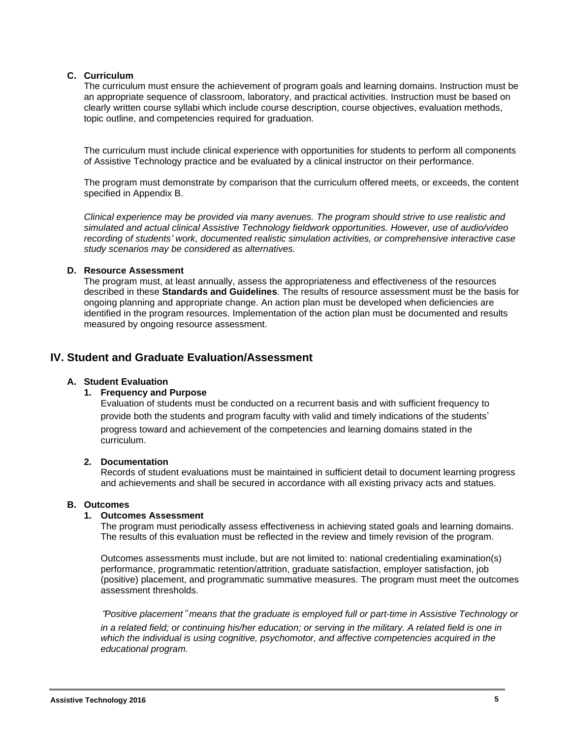## **C. Curriculum**

The curriculum must ensure the achievement of program goals and learning domains. Instruction must be an appropriate sequence of classroom, laboratory, and practical activities. Instruction must be based on clearly written course syllabi which include course description, course objectives, evaluation methods, topic outline, and competencies required for graduation.

The curriculum must include clinical experience with opportunities for students to perform all components of Assistive Technology practice and be evaluated by a clinical instructor on their performance.

The program must demonstrate by comparison that the curriculum offered meets, or exceeds, the content specified in Appendix B.

*Clinical experience may be provided via many avenues. The program should strive to use realistic and simulated and actual clinical Assistive Technology fieldwork opportunities. However, use of audio/video recording of students' work, documented realistic simulation activities, or comprehensive interactive case study scenarios may be considered as alternatives.*

#### **D. Resource Assessment**

The program must, at least annually, assess the appropriateness and effectiveness of the resources described in these **Standards and Guidelines**. The results of resource assessment must be the basis for ongoing planning and appropriate change. An action plan must be developed when deficiencies are identified in the program resources. Implementation of the action plan must be documented and results measured by ongoing resource assessment.

## **IV. Student and Graduate Evaluation/Assessment**

#### **A. Student Evaluation**

#### **1. Frequency and Purpose**

Evaluation of students must be conducted on a recurrent basis and with sufficient frequency to provide both the students and program faculty with valid and timely indications of the students' progress toward and achievement of the competencies and learning domains stated in the curriculum.

#### **2. Documentation**

Records of student evaluations must be maintained in sufficient detail to document learning progress and achievements and shall be secured in accordance with all existing privacy acts and statues.

#### **B. Outcomes**

#### **1. Outcomes Assessment**

The program must periodically assess effectiveness in achieving stated goals and learning domains. The results of this evaluation must be reflected in the review and timely revision of the program.

Outcomes assessments must include, but are not limited to: national credentialing examination(s) performance, programmatic retention/attrition, graduate satisfaction, employer satisfaction, job (positive) placement, and programmatic summative measures. The program must meet the outcomes assessment thresholds.

"*Positive placement*" *means that the graduate is employed full or part-time in Assistive Technology or*

in a related field; or continuing his/her education; or serving in the military. A related field is one in *which the individual is using cognitive, psychomotor, and affective competencies acquired in the educational program.*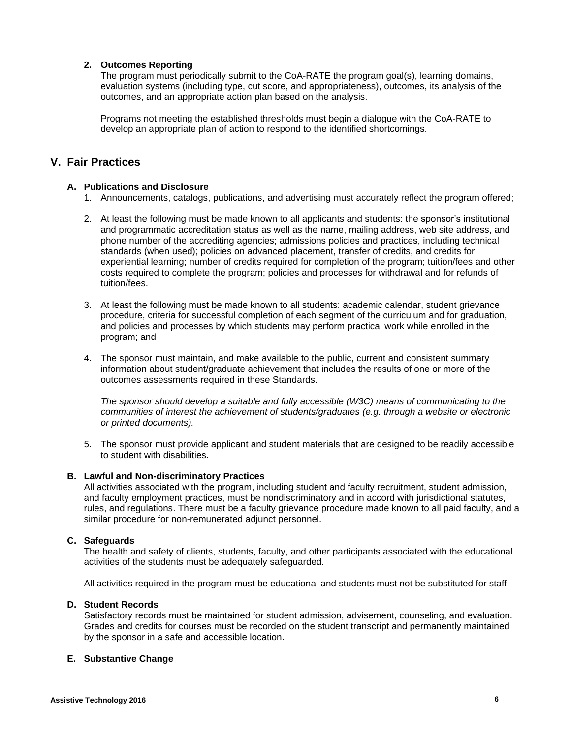### **2. Outcomes Reporting**

The program must periodically submit to the CoA-RATE the program goal(s), learning domains, evaluation systems (including type, cut score, and appropriateness), outcomes, its analysis of the outcomes, and an appropriate action plan based on the analysis.

Programs not meeting the established thresholds must begin a dialogue with the CoA-RATE to develop an appropriate plan of action to respond to the identified shortcomings.

## **V. Fair Practices**

#### **A. Publications and Disclosure**

- 1. Announcements, catalogs, publications, and advertising must accurately reflect the program offered;
- 2. At least the following must be made known to all applicants and students: the sponsor's institutional and programmatic accreditation status as well as the name, mailing address, web site address, and phone number of the accrediting agencies; admissions policies and practices, including technical standards (when used); policies on advanced placement, transfer of credits, and credits for experiential learning; number of credits required for completion of the program; tuition/fees and other costs required to complete the program; policies and processes for withdrawal and for refunds of tuition/fees.
- 3. At least the following must be made known to all students: academic calendar, student grievance procedure, criteria for successful completion of each segment of the curriculum and for graduation, and policies and processes by which students may perform practical work while enrolled in the program; and
- 4. The sponsor must maintain, and make available to the public, current and consistent summary information about student/graduate achievement that includes the results of one or more of the outcomes assessments required in these Standards.

*The sponsor should develop a suitable and fully accessible (W3C) means of communicating to the communities of interest the achievement of students/graduates (e.g. through a website or electronic or printed documents).*

5. The sponsor must provide applicant and student materials that are designed to be readily accessible to student with disabilities.

#### **B. Lawful and Non-discriminatory Practices**

All activities associated with the program, including student and faculty recruitment, student admission, and faculty employment practices, must be nondiscriminatory and in accord with jurisdictional statutes, rules, and regulations. There must be a faculty grievance procedure made known to all paid faculty, and a similar procedure for non-remunerated adjunct personnel.

#### **C. Safeguards**

The health and safety of clients, students, faculty, and other participants associated with the educational activities of the students must be adequately safeguarded.

All activities required in the program must be educational and students must not be substituted for staff.

#### **D. Student Records**

Satisfactory records must be maintained for student admission, advisement, counseling, and evaluation. Grades and credits for courses must be recorded on the student transcript and permanently maintained by the sponsor in a safe and accessible location.

#### **E. Substantive Change**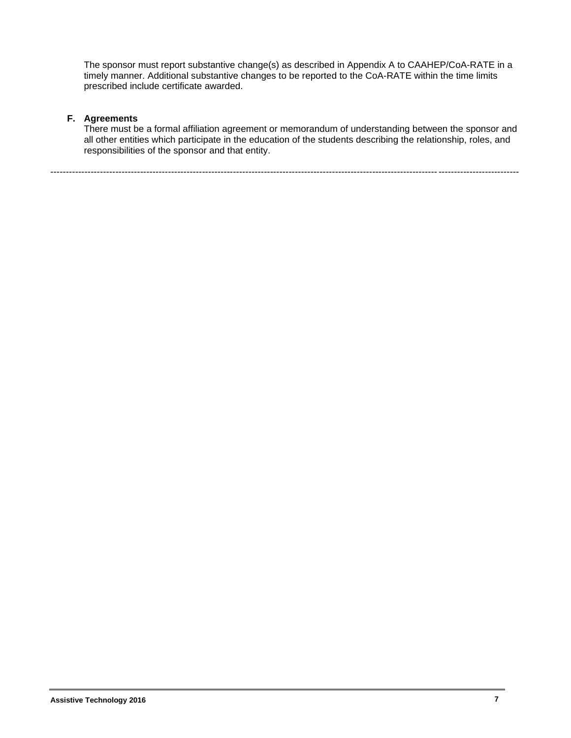The sponsor must report substantive change(s) as described in Appendix A to CAAHEP/CoA-RATE in a timely manner. Additional substantive changes to be reported to the CoA-RATE within the time limits prescribed include certificate awarded.

## **F. Agreements**

There must be a formal affiliation agreement or memorandum of understanding between the sponsor and all other entities which participate in the education of the students describing the relationship, roles, and responsibilities of the sponsor and that entity.

-------------------------------------------------------------------------------------------------------------------------------------------------------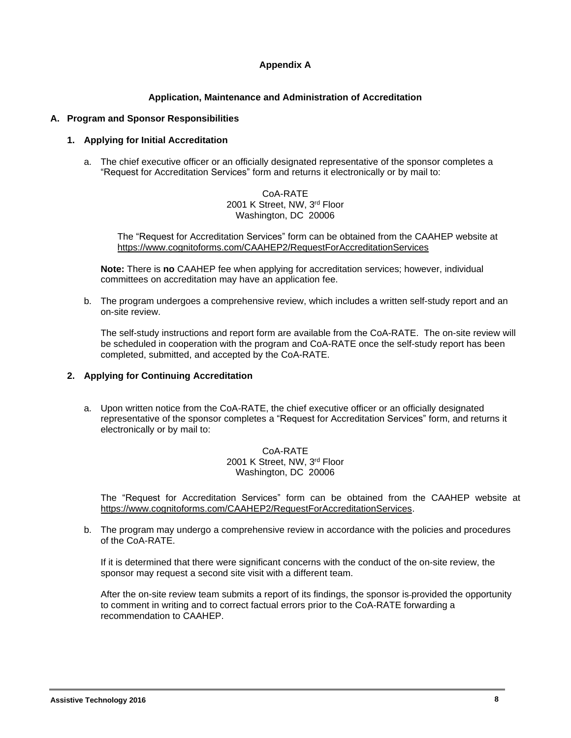## **Appendix A**

### **Application, Maintenance and Administration of Accreditation**

#### **A. Program and Sponsor Responsibilities**

#### **1. Applying for Initial Accreditation**

a. The chief executive officer or an officially designated representative of the sponsor completes a "Request for Accreditation Services" form and returns it electronically or by mail to:

> CoA-RATE 2001 K Street, NW, 3<sup>rd</sup> Floor Washington, DC 20006

The "Request for Accreditation Services" form can be obtained from the CAAHEP website at <https://www.cognitoforms.com/CAAHEP2/RequestForAccreditationServices>

**Note:** There is **no** CAAHEP fee when applying for accreditation services; however, individual committees on accreditation may have an application fee.

b. The program undergoes a comprehensive review, which includes a written self-study report and an on-site review.

The self-study instructions and report form are available from the CoA-RATE. The on-site review will be scheduled in cooperation with the program and CoA-RATE once the self-study report has been completed, submitted, and accepted by the CoA-RATE.

#### **2. Applying for Continuing Accreditation**

a. Upon written notice from the CoA-RATE, the chief executive officer or an officially designated representative of the sponsor completes a "Request for Accreditation Services" form, and returns it electronically or by mail to:

> CoA-RATE 2001 K Street, NW, 3<sup>rd</sup> Floor Washington, DC 20006

The "Request for Accreditation Services" form can be obtained from the CAAHEP website at [https://www.cognitoforms.com/CAAHEP2/RequestForAccreditationServices.](https://www.cognitoforms.com/CAAHEP2/RequestForAccreditationServices)

b. The program may undergo a comprehensive review in accordance with the policies and procedures of the CoA-RATE.

If it is determined that there were significant concerns with the conduct of the on-site review, the sponsor may request a second site visit with a different team.

After the on-site review team submits a report of its findings, the sponsor is provided the opportunity to comment in writing and to correct factual errors prior to the CoA-RATE forwarding a recommendation to CAAHEP.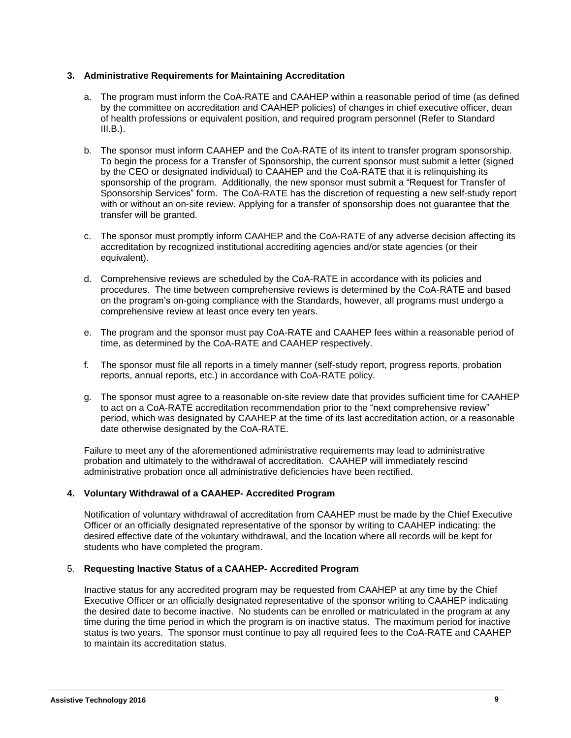#### **3. Administrative Requirements for Maintaining Accreditation**

- a. The program must inform the CoA-RATE and CAAHEP within a reasonable period of time (as defined by the committee on accreditation and CAAHEP policies) of changes in chief executive officer, dean of health professions or equivalent position, and required program personnel (Refer to Standard  $III.B.$ ).
- b. The sponsor must inform CAAHEP and the CoA-RATE of its intent to transfer program sponsorship. To begin the process for a Transfer of Sponsorship, the current sponsor must submit a letter (signed by the CEO or designated individual) to CAAHEP and the CoA-RATE that it is relinquishing its sponsorship of the program. Additionally, the new sponsor must submit a "Request for Transfer of Sponsorship Services" form. The CoA-RATE has the discretion of requesting a new self-study report with or without an on-site review. Applying for a transfer of sponsorship does not guarantee that the transfer will be granted.
- c. The sponsor must promptly inform CAAHEP and the CoA-RATE of any adverse decision affecting its accreditation by recognized institutional accrediting agencies and/or state agencies (or their equivalent).
- d. Comprehensive reviews are scheduled by the CoA-RATE in accordance with its policies and procedures. The time between comprehensive reviews is determined by the CoA-RATE and based on the program's on-going compliance with the Standards, however, all programs must undergo a comprehensive review at least once every ten years.
- e. The program and the sponsor must pay CoA-RATE and CAAHEP fees within a reasonable period of time, as determined by the CoA-RATE and CAAHEP respectively.
- f. The sponsor must file all reports in a timely manner (self-study report, progress reports, probation reports, annual reports, etc.) in accordance with CoA-RATE policy.
- g. The sponsor must agree to a reasonable on-site review date that provides sufficient time for CAAHEP to act on a CoA-RATE accreditation recommendation prior to the "next comprehensive review" period, which was designated by CAAHEP at the time of its last accreditation action, or a reasonable date otherwise designated by the CoA-RATE.

Failure to meet any of the aforementioned administrative requirements may lead to administrative probation and ultimately to the withdrawal of accreditation. CAAHEP will immediately rescind administrative probation once all administrative deficiencies have been rectified.

## **4. Voluntary Withdrawal of a CAAHEP- Accredited Program**

Notification of voluntary withdrawal of accreditation from CAAHEP must be made by the Chief Executive Officer or an officially designated representative of the sponsor by writing to CAAHEP indicating: the desired effective date of the voluntary withdrawal, and the location where all records will be kept for students who have completed the program.

#### 5. **Requesting Inactive Status of a CAAHEP- Accredited Program**

Inactive status for any accredited program may be requested from CAAHEP at any time by the Chief Executive Officer or an officially designated representative of the sponsor writing to CAAHEP indicating the desired date to become inactive. No students can be enrolled or matriculated in the program at any time during the time period in which the program is on inactive status. The maximum period for inactive status is two years. The sponsor must continue to pay all required fees to the CoA-RATE and CAAHEP to maintain its accreditation status.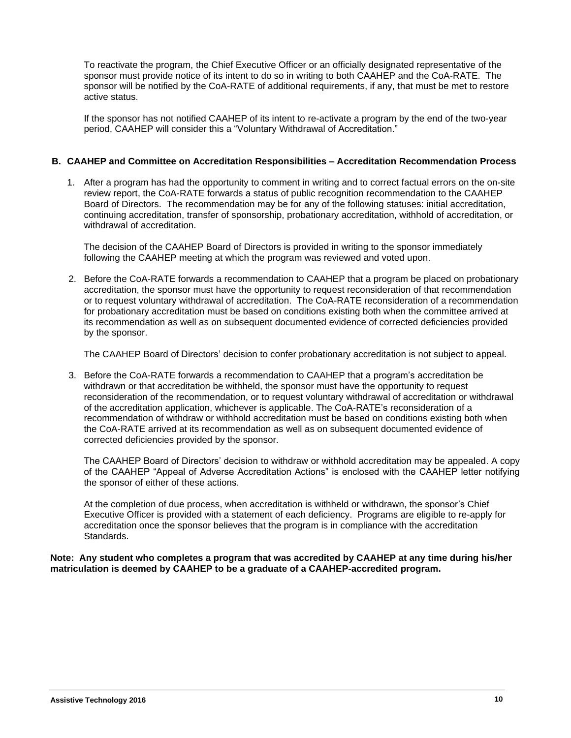To reactivate the program, the Chief Executive Officer or an officially designated representative of the sponsor must provide notice of its intent to do so in writing to both CAAHEP and the CoA-RATE. The sponsor will be notified by the CoA-RATE of additional requirements, if any, that must be met to restore active status.

If the sponsor has not notified CAAHEP of its intent to re-activate a program by the end of the two-year period, CAAHEP will consider this a "Voluntary Withdrawal of Accreditation."

#### **B. CAAHEP and Committee on Accreditation Responsibilities – Accreditation Recommendation Process**

1. After a program has had the opportunity to comment in writing and to correct factual errors on the on-site review report, the CoA-RATE forwards a status of public recognition recommendation to the CAAHEP Board of Directors. The recommendation may be for any of the following statuses: initial accreditation, continuing accreditation, transfer of sponsorship, probationary accreditation, withhold of accreditation, or withdrawal of accreditation.

The decision of the CAAHEP Board of Directors is provided in writing to the sponsor immediately following the CAAHEP meeting at which the program was reviewed and voted upon.

2. Before the CoA-RATE forwards a recommendation to CAAHEP that a program be placed on probationary accreditation, the sponsor must have the opportunity to request reconsideration of that recommendation or to request voluntary withdrawal of accreditation. The CoA-RATE reconsideration of a recommendation for probationary accreditation must be based on conditions existing both when the committee arrived at its recommendation as well as on subsequent documented evidence of corrected deficiencies provided by the sponsor.

The CAAHEP Board of Directors' decision to confer probationary accreditation is not subject to appeal.

3. Before the CoA-RATE forwards a recommendation to CAAHEP that a program's accreditation be withdrawn or that accreditation be withheld, the sponsor must have the opportunity to request reconsideration of the recommendation, or to request voluntary withdrawal of accreditation or withdrawal of the accreditation application, whichever is applicable. The CoA-RATE's reconsideration of a recommendation of withdraw or withhold accreditation must be based on conditions existing both when the CoA-RATE arrived at its recommendation as well as on subsequent documented evidence of corrected deficiencies provided by the sponsor.

The CAAHEP Board of Directors' decision to withdraw or withhold accreditation may be appealed. A copy of the CAAHEP "Appeal of Adverse Accreditation Actions" is enclosed with the CAAHEP letter notifying the sponsor of either of these actions.

At the completion of due process, when accreditation is withheld or withdrawn, the sponsor's Chief Executive Officer is provided with a statement of each deficiency. Programs are eligible to re-apply for accreditation once the sponsor believes that the program is in compliance with the accreditation Standards.

**Note: Any student who completes a program that was accredited by CAAHEP at any time during his/her matriculation is deemed by CAAHEP to be a graduate of a CAAHEP-accredited program.**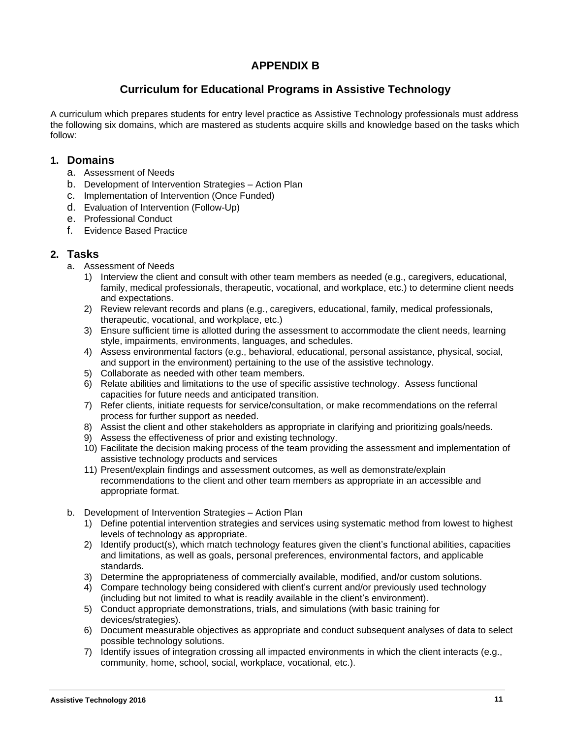# **APPENDIX B**

# **Curriculum for Educational Programs in Assistive Technology**

A curriculum which prepares students for entry level practice as Assistive Technology professionals must address the following six domains, which are mastered as students acquire skills and knowledge based on the tasks which follow:

## **1. Domains**

- a. Assessment of Needs
- b. Development of Intervention Strategies Action Plan
- c. Implementation of Intervention (Once Funded)
- d. Evaluation of Intervention (Follow-Up)
- e. Professional Conduct
- f. Evidence Based Practice

## **2. Tasks**

- a. Assessment of Needs
	- 1) Interview the client and consult with other team members as needed (e.g., caregivers, educational, family, medical professionals, therapeutic, vocational, and workplace, etc.) to determine client needs and expectations.
	- 2) Review relevant records and plans (e.g., caregivers, educational, family, medical professionals, therapeutic, vocational, and workplace, etc.)
	- 3) Ensure sufficient time is allotted during the assessment to accommodate the client needs, learning style, impairments, environments, languages, and schedules.
	- 4) Assess environmental factors (e.g., behavioral, educational, personal assistance, physical, social, and support in the environment) pertaining to the use of the assistive technology.
	- 5) Collaborate as needed with other team members.
	- 6) Relate abilities and limitations to the use of specific assistive technology. Assess functional capacities for future needs and anticipated transition.
	- 7) Refer clients, initiate requests for service/consultation, or make recommendations on the referral process for further support as needed.
	- 8) Assist the client and other stakeholders as appropriate in clarifying and prioritizing goals/needs.
	- 9) Assess the effectiveness of prior and existing technology.
	- 10) Facilitate the decision making process of the team providing the assessment and implementation of assistive technology products and services
	- 11) Present/explain findings and assessment outcomes, as well as demonstrate/explain recommendations to the client and other team members as appropriate in an accessible and appropriate format.
- b. Development of Intervention Strategies Action Plan
	- 1) Define potential intervention strategies and services using systematic method from lowest to highest levels of technology as appropriate.
	- 2) Identify product(s), which match technology features given the client's functional abilities, capacities and limitations, as well as goals, personal preferences, environmental factors, and applicable standards.
	- 3) Determine the appropriateness of commercially available, modified, and/or custom solutions.
	- 4) Compare technology being considered with client's current and/or previously used technology (including but not limited to what is readily available in the client's environment).
	- 5) Conduct appropriate demonstrations, trials, and simulations (with basic training for devices/strategies).
	- 6) Document measurable objectives as appropriate and conduct subsequent analyses of data to select possible technology solutions.
	- 7) Identify issues of integration crossing all impacted environments in which the client interacts (e.g., community, home, school, social, workplace, vocational, etc.).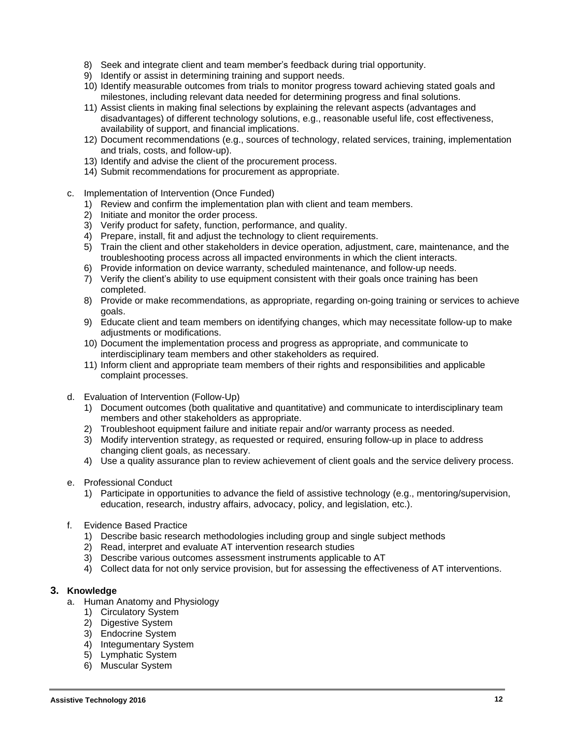- 8) Seek and integrate client and team member's feedback during trial opportunity.
- 9) Identify or assist in determining training and support needs.
- 10) Identify measurable outcomes from trials to monitor progress toward achieving stated goals and milestones, including relevant data needed for determining progress and final solutions.
- 11) Assist clients in making final selections by explaining the relevant aspects (advantages and disadvantages) of different technology solutions, e.g., reasonable useful life, cost effectiveness, availability of support, and financial implications.
- 12) Document recommendations (e.g., sources of technology, related services, training, implementation and trials, costs, and follow-up).
- 13) Identify and advise the client of the procurement process.
- 14) Submit recommendations for procurement as appropriate.
- c. Implementation of Intervention (Once Funded)
	- 1) Review and confirm the implementation plan with client and team members.
	- 2) Initiate and monitor the order process.
	- 3) Verify product for safety, function, performance, and quality.
	- 4) Prepare, install, fit and adjust the technology to client requirements.
	- 5) Train the client and other stakeholders in device operation, adjustment, care, maintenance, and the troubleshooting process across all impacted environments in which the client interacts.
	- 6) Provide information on device warranty, scheduled maintenance, and follow-up needs.
	- 7) Verify the client's ability to use equipment consistent with their goals once training has been completed.
	- 8) Provide or make recommendations, as appropriate, regarding on-going training or services to achieve goals.
	- 9) Educate client and team members on identifying changes, which may necessitate follow-up to make adjustments or modifications.
	- 10) Document the implementation process and progress as appropriate, and communicate to interdisciplinary team members and other stakeholders as required.
	- 11) Inform client and appropriate team members of their rights and responsibilities and applicable complaint processes.
- d. Evaluation of Intervention (Follow-Up)
	- 1) Document outcomes (both qualitative and quantitative) and communicate to interdisciplinary team members and other stakeholders as appropriate.
	- 2) Troubleshoot equipment failure and initiate repair and/or warranty process as needed.
	- 3) Modify intervention strategy, as requested or required, ensuring follow-up in place to address changing client goals, as necessary.
	- 4) Use a quality assurance plan to review achievement of client goals and the service delivery process.
- e. Professional Conduct
	- 1) Participate in opportunities to advance the field of assistive technology (e.g., mentoring/supervision, education, research, industry affairs, advocacy, policy, and legislation, etc.).
- f. Evidence Based Practice
	- 1) Describe basic research methodologies including group and single subject methods
	- 2) Read, interpret and evaluate AT intervention research studies
	- 3) Describe various outcomes assessment instruments applicable to AT
	- 4) Collect data for not only service provision, but for assessing the effectiveness of AT interventions.

## **3. Knowledge**

- a. Human Anatomy and Physiology
	- 1) Circulatory System
	- 2) Digestive System
	- 3) Endocrine System
	- 4) Integumentary System
	- 5) Lymphatic System
	- 6) Muscular System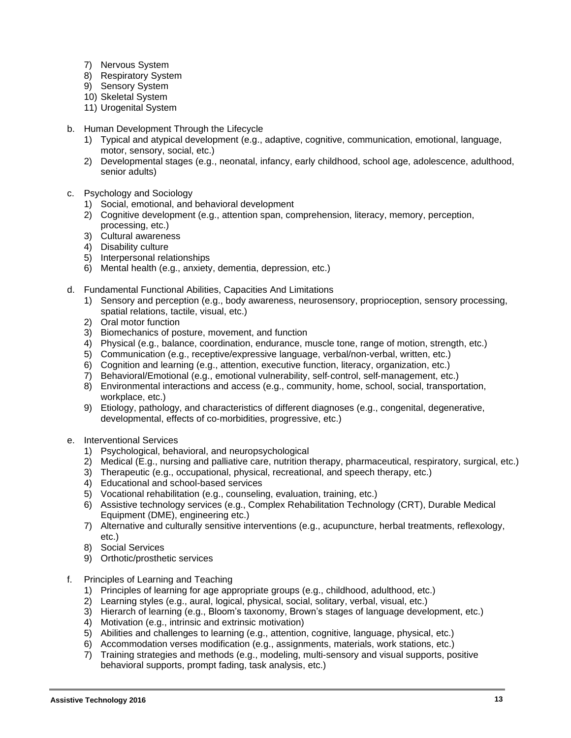- 7) Nervous System
- 8) Respiratory System
- 9) Sensory System
- 10) Skeletal System
- 11) Urogenital System
- b. Human Development Through the Lifecycle
	- 1) Typical and atypical development (e.g., adaptive, cognitive, communication, emotional, language, motor, sensory, social, etc.)
	- 2) Developmental stages (e.g., neonatal, infancy, early childhood, school age, adolescence, adulthood, senior adults)
- c. Psychology and Sociology
	- 1) Social, emotional, and behavioral development
	- 2) Cognitive development (e.g., attention span, comprehension, literacy, memory, perception, processing, etc.)
	- 3) Cultural awareness
	- 4) Disability culture
	- 5) Interpersonal relationships
	- 6) Mental health (e.g., anxiety, dementia, depression, etc.)
- d. Fundamental Functional Abilities, Capacities And Limitations
	- 1) Sensory and perception (e.g., body awareness, neurosensory, proprioception, sensory processing, spatial relations, tactile, visual, etc.)
	- 2) Oral motor function
	- 3) Biomechanics of posture, movement, and function
	- 4) Physical (e.g., balance, coordination, endurance, muscle tone, range of motion, strength, etc.)
	- 5) Communication (e.g., receptive/expressive language, verbal/non-verbal, written, etc.)
	- 6) Cognition and learning (e.g., attention, executive function, literacy, organization, etc.)
	- 7) Behavioral/Emotional (e.g., emotional vulnerability, self‐control, self‐management, etc.)
	- 8) Environmental interactions and access (e.g., community, home, school, social, transportation, workplace, etc.)
	- 9) Etiology, pathology, and characteristics of different diagnoses (e.g., congenital, degenerative, developmental, effects of co‐morbidities, progressive, etc.)
- e. Interventional Services
	- 1) Psychological, behavioral, and neuropsychological
	- 2) Medical (E.g., nursing and palliative care, nutrition therapy, pharmaceutical, respiratory, surgical, etc.)
	- 3) Therapeutic (e.g., occupational, physical, recreational, and speech therapy, etc.)
	- 4) Educational and school-based services
	- 5) Vocational rehabilitation (e.g., counseling, evaluation, training, etc.)
	- 6) Assistive technology services (e.g., Complex Rehabilitation Technology (CRT), Durable Medical Equipment (DME), engineering etc.)
	- 7) Alternative and culturally sensitive interventions (e.g., acupuncture, herbal treatments, reflexology, etc.)
	- 8) Social Services
	- 9) Orthotic/prosthetic services
- f. Principles of Learning and Teaching
	- 1) Principles of learning for age appropriate groups (e.g., childhood, adulthood, etc.)
	- 2) Learning styles (e.g., aural, logical, physical, social, solitary, verbal, visual, etc.)
	- 3) Hierarch of learning (e.g., Bloom's taxonomy, Brown's stages of language development, etc.)
	- 4) Motivation (e.g., intrinsic and extrinsic motivation)
	- 5) Abilities and challenges to learning (e.g., attention, cognitive, language, physical, etc.)
	- 6) Accommodation verses modification (e.g., assignments, materials, work stations, etc.)
	- 7) Training strategies and methods (e.g., modeling, multi-sensory and visual supports, positive behavioral supports, prompt fading, task analysis, etc.)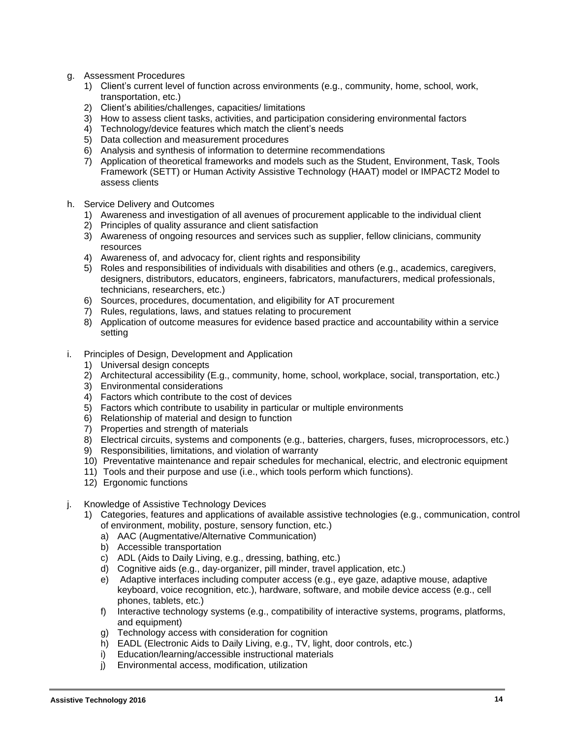- g. Assessment Procedures
	- 1) Client's current level of function across environments (e.g., community, home, school, work, transportation, etc.)
	- 2) Client's abilities/challenges, capacities/ limitations
	- 3) How to assess client tasks, activities, and participation considering environmental factors
	- 4) Technology/device features which match the client's needs
	- 5) Data collection and measurement procedures
	- 6) Analysis and synthesis of information to determine recommendations
	- 7) Application of theoretical frameworks and models such as the Student, Environment, Task, Tools Framework (SETT) or Human Activity Assistive Technology (HAAT) model or IMPACT2 Model to assess clients
- h. Service Delivery and Outcomes
	- 1) Awareness and investigation of all avenues of procurement applicable to the individual client
	- 2) Principles of quality assurance and client satisfaction
	- 3) Awareness of ongoing resources and services such as supplier, fellow clinicians, community resources
	- 4) Awareness of, and advocacy for, client rights and responsibility
	- 5) Roles and responsibilities of individuals with disabilities and others (e.g., academics, caregivers, designers, distributors, educators, engineers, fabricators, manufacturers, medical professionals, technicians, researchers, etc.)
	- 6) Sources, procedures, documentation, and eligibility for AT procurement
	- 7) Rules, regulations, laws, and statues relating to procurement
	- 8) Application of outcome measures for evidence based practice and accountability within a service setting
- i. Principles of Design, Development and Application
	- 1) Universal design concepts
	- 2) Architectural accessibility (E.g., community, home, school, workplace, social, transportation, etc.)
	- 3) Environmental considerations
	- 4) Factors which contribute to the cost of devices
	- 5) Factors which contribute to usability in particular or multiple environments
	- 6) Relationship of material and design to function
	- 7) Properties and strength of materials
	- 8) Electrical circuits, systems and components (e.g., batteries, chargers, fuses, microprocessors, etc.)
	- 9) Responsibilities, limitations, and violation of warranty
	- 10) Preventative maintenance and repair schedules for mechanical, electric, and electronic equipment
	- 11) Tools and their purpose and use (i.e., which tools perform which functions).
	- 12) Ergonomic functions
- j. Knowledge of Assistive Technology Devices
	- 1) Categories, features and applications of available assistive technologies (e.g., communication, control of environment, mobility, posture, sensory function, etc.)
		- a) AAC (Augmentative/Alternative Communication)
		- b) Accessible transportation
		- c) ADL (Aids to Daily Living, e.g., dressing, bathing, etc.)
		- d) Cognitive aids (e.g., day‐organizer, pill minder, travel application, etc.)
		- e) Adaptive interfaces including computer access (e.g., eye gaze, adaptive mouse, adaptive keyboard, voice recognition, etc.), hardware, software, and mobile device access (e.g., cell phones, tablets, etc.)
		- f) Interactive technology systems (e.g., compatibility of interactive systems, programs, platforms, and equipment)
		- g) Technology access with consideration for cognition
		- h) EADL (Electronic Aids to Daily Living, e.g., TV, light, door controls, etc.)
		- i) Education/learning/accessible instructional materials
		- j) Environmental access, modification, utilization